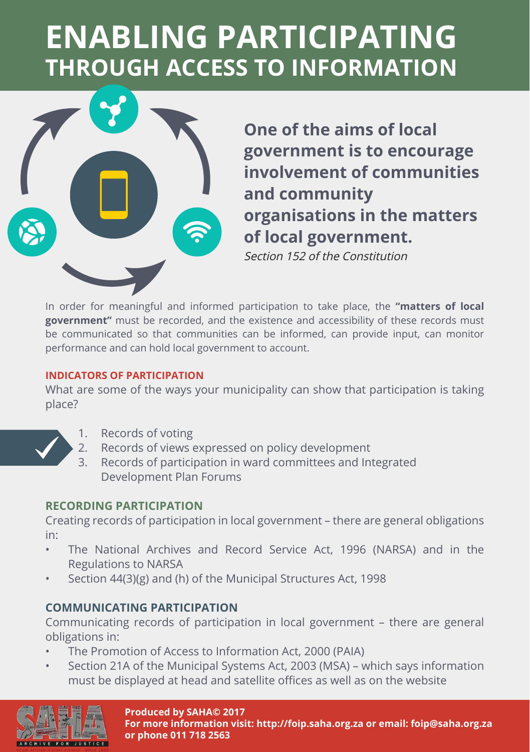# **ENABLING PARTICIPATING THROUGH ACCESS TO INFORMATION**



**One of the aims of local government is to encourage involvement of communities and community organisations in the matters of local government.**

Section 152 of the Constitution

In order for meaningful and informed participation to take place, the **"matters of local government"** must be recorded, and the existence and accessibility of these records must be communicated so that communities can be informed, can provide input, can monitor performance and can hold local government to account.

#### **INDICATORS OF PARTICIPATION**

What are some of the ways your municipality can show that participation is taking place?



- 1. Records of voting
- 2. Records of views expressed on policy development
- 3. Records of participation in ward committees and Integrated Development Plan Forums

### **RECORDING PARTICIPATION**

Creating records of participation in local government – there are general obligations in:

- The National Archives and Record Service Act, 1996 (NARSA) and in the Regulations to NARSA
- Section 44(3)(g) and (h) of the Municipal Structures Act, 1998

## **COMMUNICATING PARTICIPATION**

Communicating records of participation in local government – there are general obligations in:

- The Promotion of Access to Information Act, 2000 (PAIA)
- Section 21A of the Municipal Systems Act, 2003 (MSA) which says information must be displayed at head and satellite offices as well as on the website



#### **Produced by SAHA© 2017**

**For more information visit: http://foip.saha.org.za or email: foip@saha.org.za or phone 011 718 2563**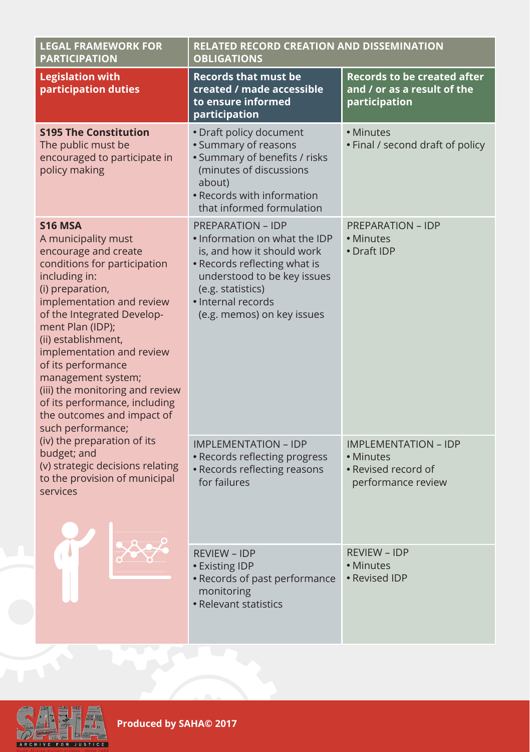| <b>LEGAL FRAMEWORK FOR</b><br><b>PARTICIPATION</b>                                                                                                                                                                                                                                                                                                                                                                                       | <b>RELATED RECORD CREATION AND DISSEMINATION</b><br><b>OBLIGATIONS</b>                                                                                                                                                          |                                                                                       |
|------------------------------------------------------------------------------------------------------------------------------------------------------------------------------------------------------------------------------------------------------------------------------------------------------------------------------------------------------------------------------------------------------------------------------------------|---------------------------------------------------------------------------------------------------------------------------------------------------------------------------------------------------------------------------------|---------------------------------------------------------------------------------------|
| <b>Legislation with</b><br>participation duties                                                                                                                                                                                                                                                                                                                                                                                          | <b>Records that must be</b><br>created / made accessible<br>to ensure informed<br>participation                                                                                                                                 | <b>Records to be created after</b><br>and / or as a result of the<br>participation    |
| <b>S195 The Constitution</b><br>The public must be<br>encouraged to participate in<br>policy making                                                                                                                                                                                                                                                                                                                                      | • Draft policy document<br>• Summary of reasons<br>· Summary of benefits / risks<br>(minutes of discussions<br>about)<br>• Records with information<br>that informed formulation                                                | • Minutes<br>• Final / second draft of policy                                         |
| <b>S16 MSA</b><br>A municipality must<br>encourage and create<br>conditions for participation<br>including in:<br>(i) preparation,<br>implementation and review<br>of the Integrated Develop-<br>ment Plan (IDP);<br>(ii) establishment,<br>implementation and review<br>of its performance<br>management system;<br>(iii) the monitoring and review<br>of its performance, including<br>the outcomes and impact of<br>such performance; | <b>PREPARATION - IDP</b><br>• Information on what the IDP<br>is, and how it should work<br>• Records reflecting what is<br>understood to be key issues<br>(e.g. statistics)<br>· Internal records<br>(e.g. memos) on key issues | <b>PREPARATION - IDP</b><br>• Minutes<br>• Draft IDP                                  |
| (iv) the preparation of its<br>budget; and<br>(v) strategic decisions relating<br>to the provision of municipal<br>services                                                                                                                                                                                                                                                                                                              | <b>IMPLEMENTATION - IDP</b><br>• Records reflecting progress<br>• Records reflecting reasons<br>for failures                                                                                                                    | <b>IMPLEMENTATION - IDP</b><br>• Minutes<br>• Revised record of<br>performance review |
|                                                                                                                                                                                                                                                                                                                                                                                                                                          | <b>REVIEW - IDP</b><br>• Existing IDP<br>• Records of past performance<br>monitoring<br>• Relevant statistics                                                                                                                   | <b>REVIEW - IDP</b><br>• Minutes<br>• Revised IDP                                     |



Produced by SAHA<sup>®</sup> 2017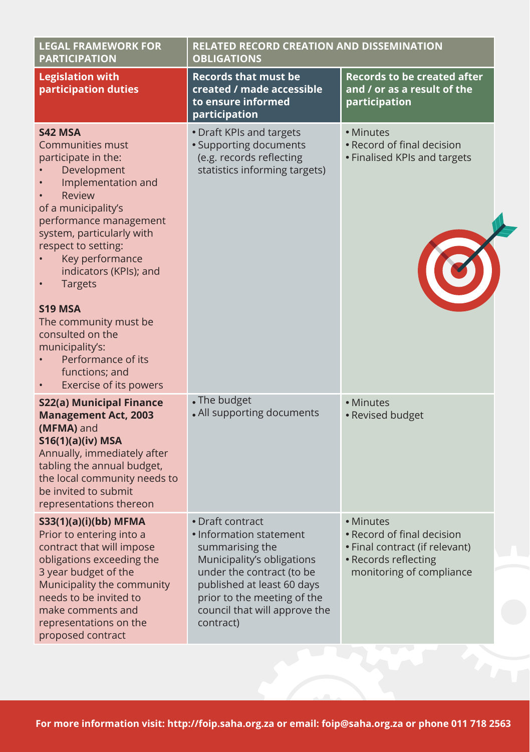| <b>LEGAL FRAMEWORK FOR</b><br><b>PARTICIPATION</b>                                                                                                                                                                                                                                                                                                                                                                                | <b>RELATED RECORD CREATION AND DISSEMINATION</b><br><b>OBLIGATIONS</b>                                                                                                                                                               |                                                                                                                               |
|-----------------------------------------------------------------------------------------------------------------------------------------------------------------------------------------------------------------------------------------------------------------------------------------------------------------------------------------------------------------------------------------------------------------------------------|--------------------------------------------------------------------------------------------------------------------------------------------------------------------------------------------------------------------------------------|-------------------------------------------------------------------------------------------------------------------------------|
| <b>Legislation with</b><br>participation duties                                                                                                                                                                                                                                                                                                                                                                                   | <b>Records that must be</b><br>created / made accessible<br>to ensure informed<br>participation                                                                                                                                      | <b>Records to be created after</b><br>and / or as a result of the<br>participation                                            |
| S42 MSA<br><b>Communities must</b><br>participate in the:<br>Development<br>Implementation and<br><b>Review</b><br>of a municipality's<br>performance management<br>system, particularly with<br>respect to setting:<br>Key performance<br>indicators (KPIs); and<br><b>Targets</b><br>S19 MSA<br>The community must be.<br>consulted on the<br>municipality's:<br>Performance of its<br>functions; and<br>Exercise of its powers | • Draft KPIs and targets<br>• Supporting documents<br>(e.g. records reflecting<br>statistics informing targets)                                                                                                                      | • Minutes<br>• Record of final decision<br>• Finalised KPIs and targets                                                       |
| S22(a) Municipal Finance<br><b>Management Act, 2003</b><br>(MFMA) and<br><b>S16(1)(a)(iv) MSA</b><br>Annually, immediately after<br>tabling the annual budget,<br>the local community needs to<br>be invited to submit<br>representations thereon                                                                                                                                                                                 | • The budget<br>• All supporting documents                                                                                                                                                                                           | • Minutes<br>• Revised budget                                                                                                 |
| S33(1)(a)(i)(bb) MFMA<br>Prior to entering into a<br>contract that will impose<br>obligations exceeding the<br>3 year budget of the<br>Municipality the community<br>needs to be invited to<br>make comments and<br>representations on the<br>proposed contract                                                                                                                                                                   | • Draft contract<br>• Information statement<br>summarising the<br>Municipality's obligations<br>under the contract (to be<br>published at least 60 days<br>prior to the meeting of the<br>council that will approve the<br>contract) | • Minutes<br>• Record of final decision<br>• Final contract (if relevant)<br>• Records reflecting<br>monitoring of compliance |